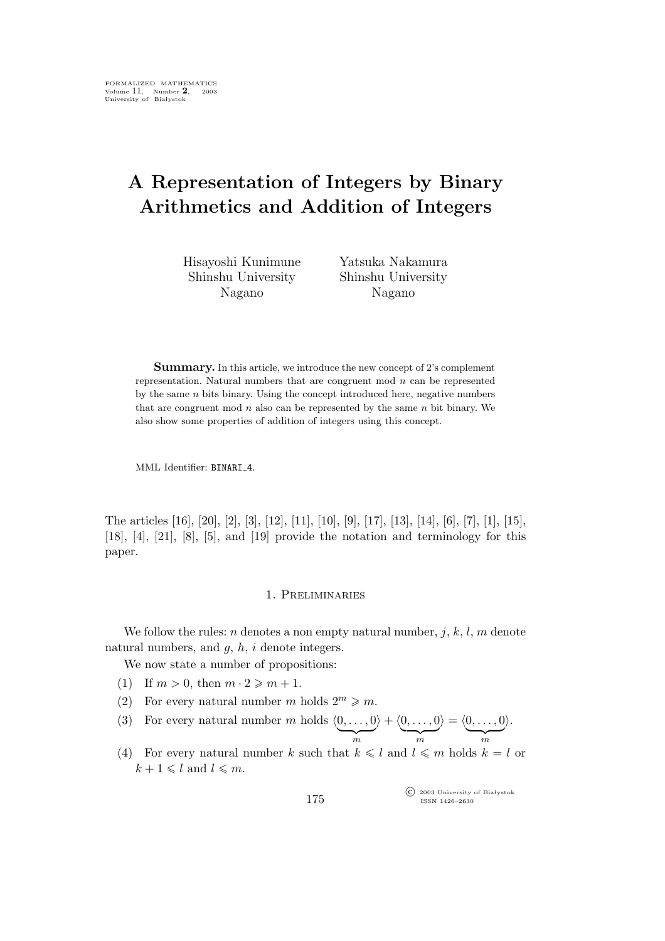# **A Representation of Integers by Binary Arithmetics and Addition of Integers**

Hisayoshi Kunimune Shinshu University Nagano

Yatsuka Nakamura Shinshu University Nagano

**Summary.** In this article, we introduce the new concept of 2's complement representation. Natural numbers that are congruent mod  $n$  can be represented by the same  $n$  bits binary. Using the concept introduced here, negative numbers that are congruent mod  $n$  also can be represented by the same  $n$  bit binary. We also show some properties of addition of integers using this concept.

MML Identifier: BINARI\_4.

The articles [16], [20], [2], [3], [12], [11], [10], [9], [17], [13], [14], [6], [7], [1], [15], [18], [4], [21], [8], [5], and [19] provide the notation and terminology for this paper.

### 1. Preliminaries

We follow the rules: n denotes a non empty natural number, j, k, l, m denote natural numbers, and  $g, h, i$  denote integers.

We now state a number of propositions:

- (1) If  $m > 0$ , then  $m \cdot 2 \geq m + 1$ .
- (2) For every natural number m holds  $2^m \ge m$ .
- (3) For every natural number m holds  $(0, \ldots, 0)$  $\sum_{m}$  $\rangle + \langle 0, \ldots, 0$  $\sum_{m}$  $\rangle = \langle 0, \ldots, 0 \rangle$  $\sum_{m}$ *i*.
- (4) For every natural number k such that  $k \leq l$  and  $l \leq m$  holds  $k = l$  or  $k + 1 \leq l$  and  $l \leq m$ .

175

°c 2003 University of Białystok ISSN 1426–2630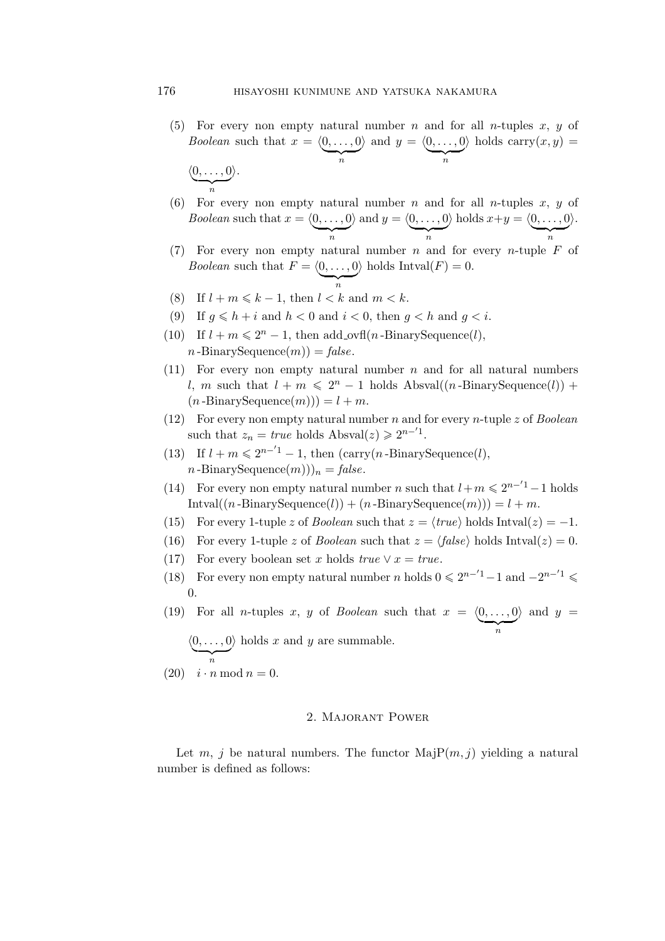- (5) For every non empty natural number n and for all n-tuples x, y of *Boolean* such that  $x = \langle 0, \ldots, 0 \rangle$  $\sum_{n}$  $\langle \rangle$  and  $y = \langle 0, \ldots, 0 \rangle$  $\sum_{n}$  $\lambda$  holds carry $(x, y) =$  $\langle 0, \ldots, 0 \rangle$  $\sum_{n}$ *i*.
- (6) For every non empty natural number n and for all n-tuples x, y of *Boolean* such that  $x = \langle 0, \ldots, 0 \rangle$  $\sum_{n}$  $\chi$  and  $y = \langle 0, \ldots, 0 \rangle$  $\sum_{n}$  $\lambda$  holds  $x+y = \langle 0, \ldots, 0 \rangle$  $\sum_{n}$ *i*.
- (7) For every non empty natural number n and for every n-tuple  $F$  of *Boolean* such that  $F = \langle 0, \ldots, 0 \rangle$  $\angle$  holds Intval $(F) = 0$ .
- (8) If  $l + m \leq k 1$ , then  $l < k$  and  $m < k$ .
- (9) If  $g \le h + i$  and  $h < 0$  and  $i < 0$ , then  $g < h$  and  $g < i$ .

 $\sum_{n}$ 

- (10) If  $l + m \leq 2<sup>n</sup> 1$ , then add\_ovfl(*n*-BinarySequence(*l*),  $n$ -BinarySequence $(m)$ ) = *false*.
- (11) For every non empty natural number  $n$  and for all natural numbers l, m such that  $l + m \leq 2<sup>n</sup> - 1$  holds Absval((n-BinarySequence(l)) +  $(n\text{-BinarySequence}(m))) = l + m.$
- (12) For every non empty natural number n and for every n-tuple z of *Boolean* such that  $z_n = true$  holds  $\text{Absval}(z) \geq 2^{n-1}$ .
- (13) If  $l + m \leq 2^{n-l} 1$ , then  $(\text{carry}(n \text{BinarySequence}(l)),$  $n$ -BinarySequence $(m))$ <sub>n</sub> = *false*.
- (14) For every non empty natural number *n* such that  $l+m \leq 2^{n-1}-1$  holds  $Intval((n - BinarySequence(l)) + (n - BinarySequence(m))) = l + m.$
- (15) For every 1-tuple z of *Boolean* such that  $z = \langle true \rangle$  holds  $Intval(z) = -1$ .
- (16) For every 1-tuple z of *Boolean* such that  $z = \langle false \rangle$  holds  $Intval(z) = 0$ .
- (17) For every boolean set x holds  $true \vee x = true$ .
- (18) For every non empty natural number *n* holds  $0 \le 2^{n-1} 1$  and  $-2^{n-1} \le$ 0.
- (19) For all *n*-tuples x, y of *Boolean* such that  $x = \langle 0, \ldots, 0 \rangle$  $\sum_{n}$  $\lambda$  and  $y =$  $\langle 0, \ldots, 0 \rangle$ *i* holds x and y are summable.

 $\sum_{n}$ (20)  $i \cdot n \mod n = 0$ .

Let m, j be natural numbers. The functor  $\text{MajP}(m, j)$  yielding a natural number is defined as follows:

2. Majorant Power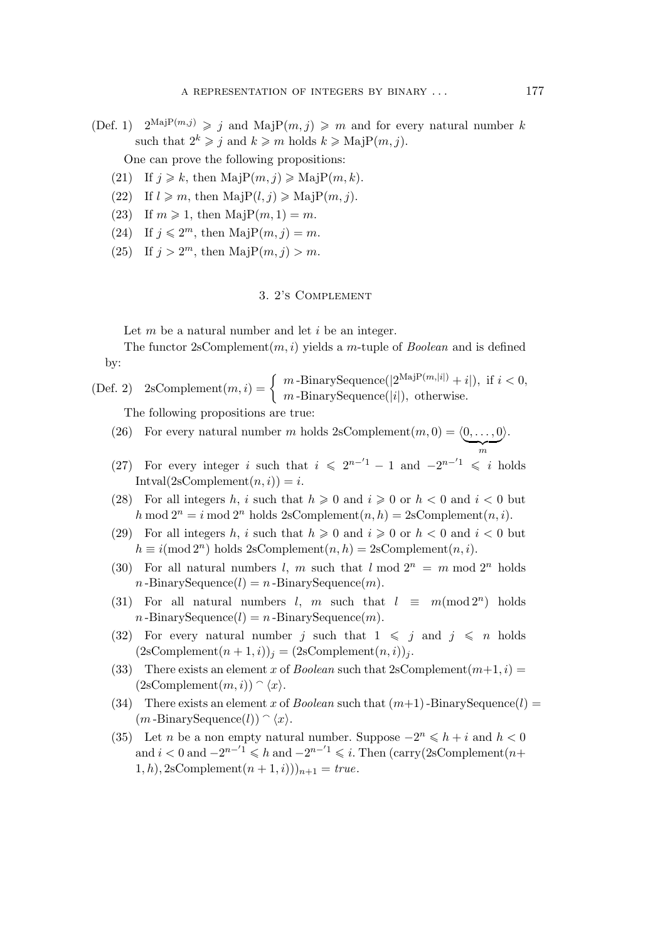(Def. 1)  $2^{\text{MajP}(m,j)} \geqslant j$  and  $\text{MajP}(m,j) \geqslant m$  and for every natural number k such that  $2^k \geq j$  and  $k \geq m$  holds  $k \geq \text{MajP}(m, j)$ .

One can prove the following propositions:

- (21) If  $j \geq k$ , then MajP $(m, j) \geq \text{MajP}(m, k)$ .
- (22) If  $l \geq m$ , then MajP $(l, j) \geq \text{MajP}(m, j)$ .
- (23) If  $m \geq 1$ , then MajP $(m, 1) = m$ .
- (24) If  $j \leqslant 2^m$ , then MajP $(m, j) = m$ .
- (25) If  $j > 2^m$ , then MajP $(m, j) > m$ .

## 3. 2's Complement

Let  $m$  be a natural number and let  $i$  be an integer.

The functor  $2sComplement(m,i)$  yields a m-tuple of *Boolean* and is defined by:

(Def. 2) 2sComplement
$$
(m, i)
$$
 =  $\begin{cases} m\text{-BinarySequence}(|2^{\text{MajP}(m, |i|)} + i|), \text{ if } i < 0, \\ m\text{-BinarySequence}(|i|), \text{ otherwise.} \end{cases}$ 

The following propositions are true:

- (26) For every natural number m holds  $2sComplement(m, 0) = \langle 0, \ldots, 0 \rangle$  $\sum_{m}$ m *i*.
- (27) For every integer i such that  $i \leq 2^{n-1} 1$  and  $-2^{n-1} \leq i$  holds Intval $(2sComplement(n,i)) = i.$
- (28) For all integers h, i such that  $h \geqslant 0$  and  $i \geqslant 0$  or  $h < 0$  and  $i < 0$  but h mod  $2^n = i \mod 2^n$  holds  $2sComplement(n,h) = 2sComplement(n,i)$ .
- (29) For all integers h, i such that  $h \geqslant 0$  and  $i \geqslant 0$  or  $h < 0$  and  $i < 0$  but  $h \equiv i \pmod{2^n}$  holds  $2sComplement(n, h) = 2sComplement(n, i).$
- (30) For all natural numbers l, m such that  $l \mod 2^n = m \mod 2^n$  holds  $n$ -BinarySequence(l) =  $n$ -BinarySequence(m).
- (31) For all natural numbers  $l, m$  such that  $l \equiv m \pmod{2^n}$  holds  $n$ -BinarySequence $(l) = n$ -BinarySequence $(m)$ .
- (32) For every natural number j such that  $1 \leq j$  and  $j \leq n$  holds  $(2sComplement(n + 1, i))_j = (2sComplement(n, i))_j.$
- (33) There exists an element x of *Boolean* such that  $2sComplement(m+1,i) =$  $(2sComplement(m,i)) \cap \langle x \rangle$ .
- (34) There exists an element x of *Boolean* such that  $(m+1)$ -BinarySequence(l) =  $(m\text{-BinarySequence}(l)) \cap \langle x \rangle.$
- (35) Let *n* be a non empty natural number. Suppose  $-2^n \le h + i$  and  $h < 0$ and  $i < 0$  and  $-2^{n-1} \leq h$  and  $-2^{n-1} \leq i$ . Then  $(\text{carry}(2sComplement(n+1)))$ 1, h), 2sComplement $(n+1,i))_{n+1} = true.$